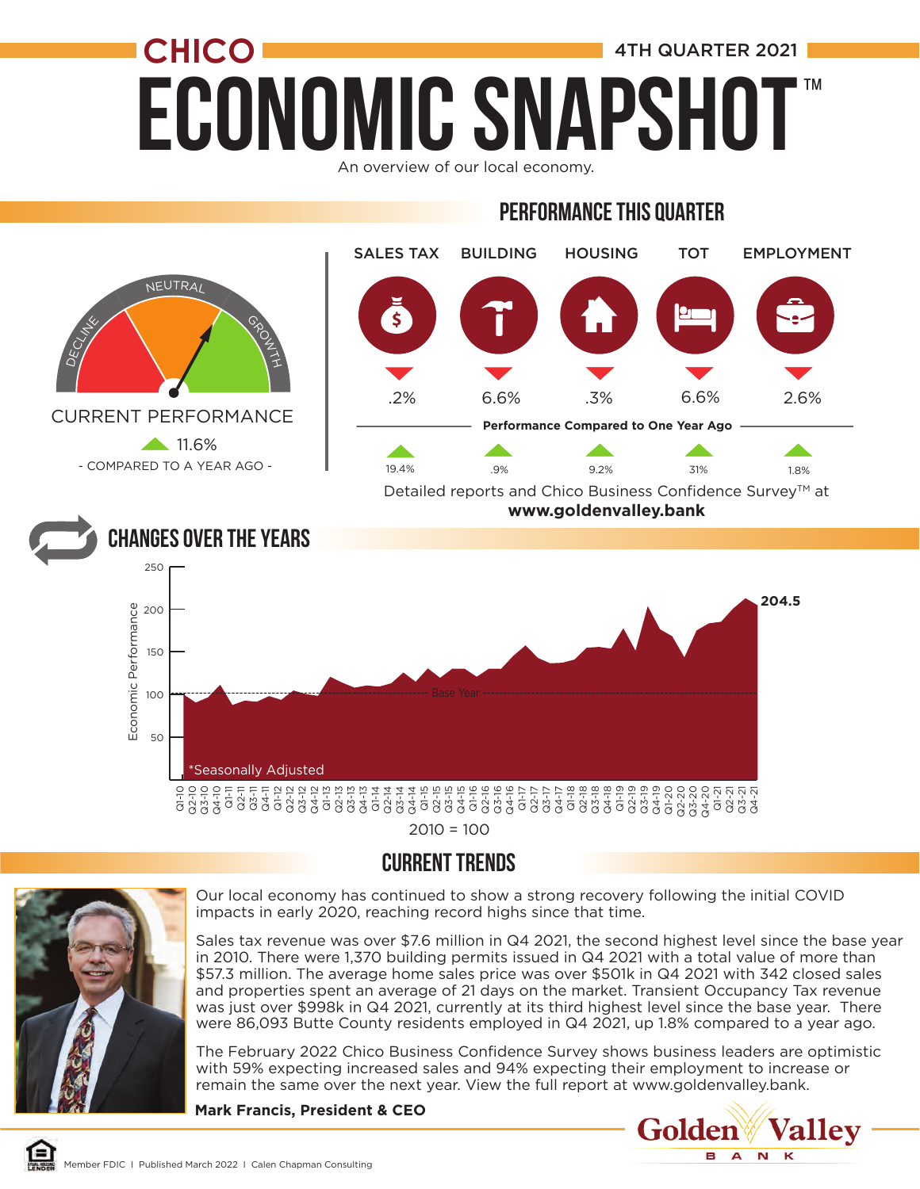# **ECONOMIC SNAPSHO CHICO 1** 4TH QUARTER 2021 ™

An overview of our local economy.

#### Performance this quarter



 $2010 = 100$ 

#### CURRENT TRENDS



Our local economy has continued to show a strong recovery following the initial COVID impacts in early 2020, reaching record highs since that time.

Sales tax revenue was over \$7.6 million in Q4 2021, the second highest level since the base year in 2010. There were 1,370 building permits issued in Q4 2021 with a total value of more than \$57.3 million. The average home sales price was over \$501k in Q4 2021 with 342 closed sales and properties spent an average of 21 days on the market. Transient Occupancy Tax revenue was just over \$998k in Q4 2021, currently at its third highest level since the base year. There were 86,093 Butte County residents employed in Q4 2021, up 1.8% compared to a year ago.

The February 2022 Chico Business Confidence Survey shows business leaders are optimistic with 59% expecting increased sales and 94% expecting their employment to increase or remain the same over the next year. View the full report at www.goldenvalley.bank.

**Mark Francis, President & CEO**

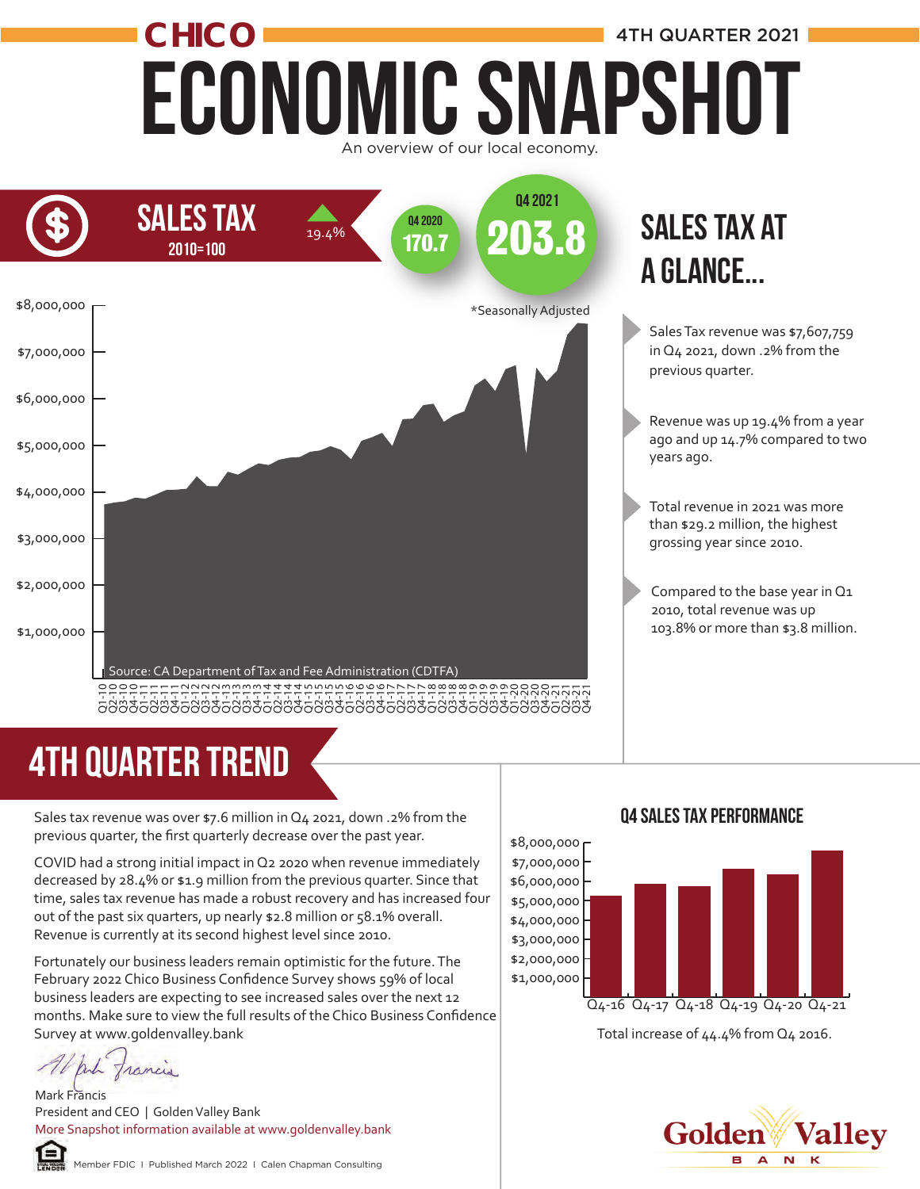#### Economic Snapshot **CHICO** overview of our local economy 4TH QUARTER 2021



# 4TH quarter trend

Sales tax revenue was over \$7.6 million in Q4 2021, down .2% from the previous quarter, the first quarterly decrease over the past year.

COVID had a strong initial impact in Q2 2020 when revenue immediately decreased by 28.4% or \$1.9 million from the previous quarter. Since that time, sales tax revenue has made a robust recovery and has increased four out of the past six quarters, up nearly \$2.8 million or 58.1% overall. Revenue is currently at its second highest level since 2010.

Fortunately our business leaders remain optimistic for the future. The February 2022 Chico Business Confidence Survey shows 59% of local business leaders are expecting to see increased sales over the next 12 months. Make sure to view the full results of the Chico Business Confidence Survey at www.goldenvalley.bank

anh francis

Mark Francis President and CEO | Golden Valley Bank More Snapshot information available at www.goldenvalley.bank



Golden **Valley**  $N$  K в  $\blacktriangle$ 



#### Q4 Sales Tax Performance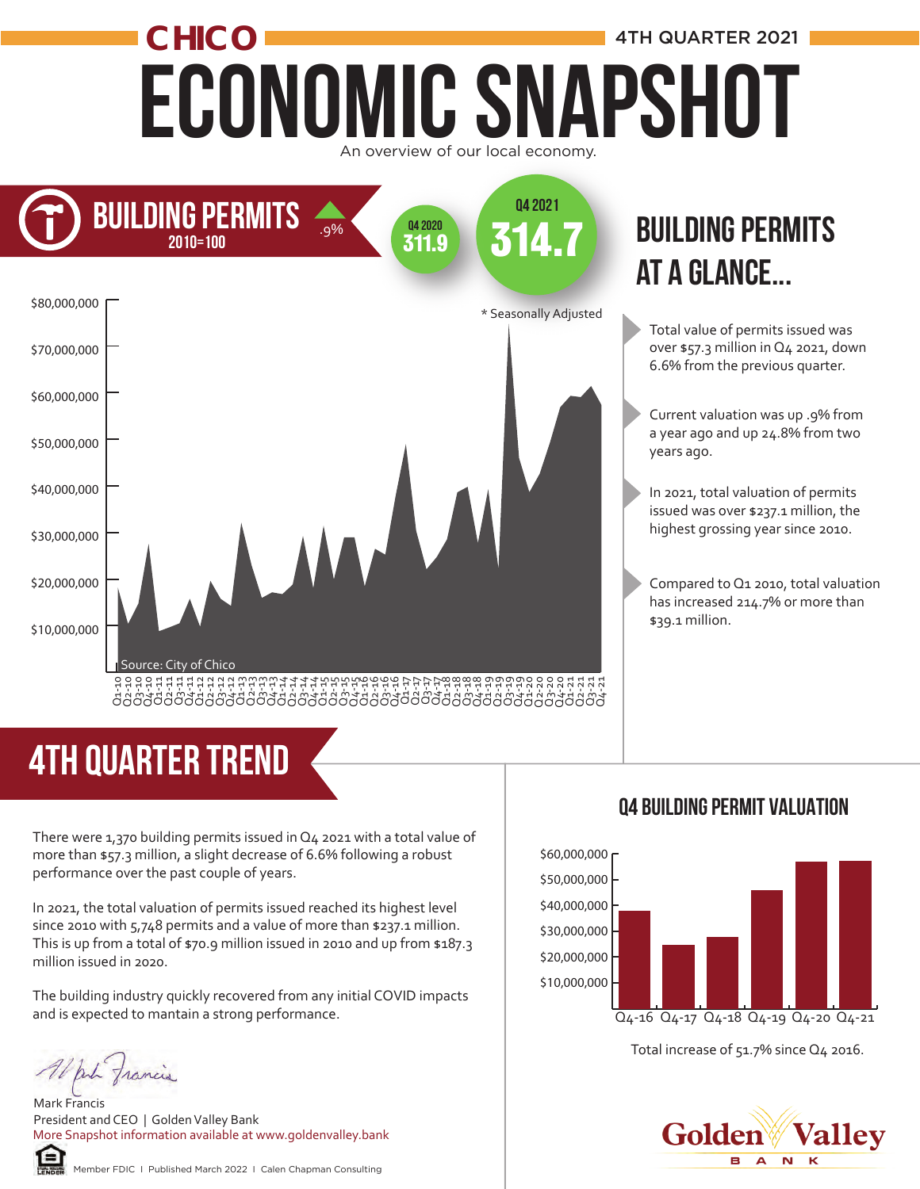## Economic Snapshot **CHICO 1** 4TH QUARTER 2021 An overview of our local economy.



# 4TH quarter trend

There were 1,370 building permits issued in Q4 2021 with a total value of more than \$57.3 million, a slight decrease of 6.6% following a robust performance over the past couple of years.

In 2021, the total valuation of permits issued reached its highest level since 2010 with 5,748 permits and a value of more than \$237.1 million. This is up from a total of \$70.9 million issued in 2010 and up from \$187.3 million issued in 2020.

The building industry quickly recovered from any initial COVID impacts and is expected to mantain a strong performance.

White francis

Mark Francis President and CEO | Golden Valley Bank More Snapshot information available at www.goldenvalley.bank



Member FDIC I Published March 2022 I Calen Chapman Consulting

#### **BUILDING PERMITS** at a glance...

- Total value of permits issued was over \$57.3 million in Q4 2021, down 6.6% from the previous quarter.
- Current valuation was up .9% from a year ago and up 24.8% from two years ago.
- In 2021, total valuation of permits issued was over \$237.1 million, the highest grossing year since 2010.
- Compared to Q1 2010, total valuation has increased 214.7% or more than \$39.1 million.

#### Q4 Building permit Valuation



Total increase of 51.7% since Q4 2016.

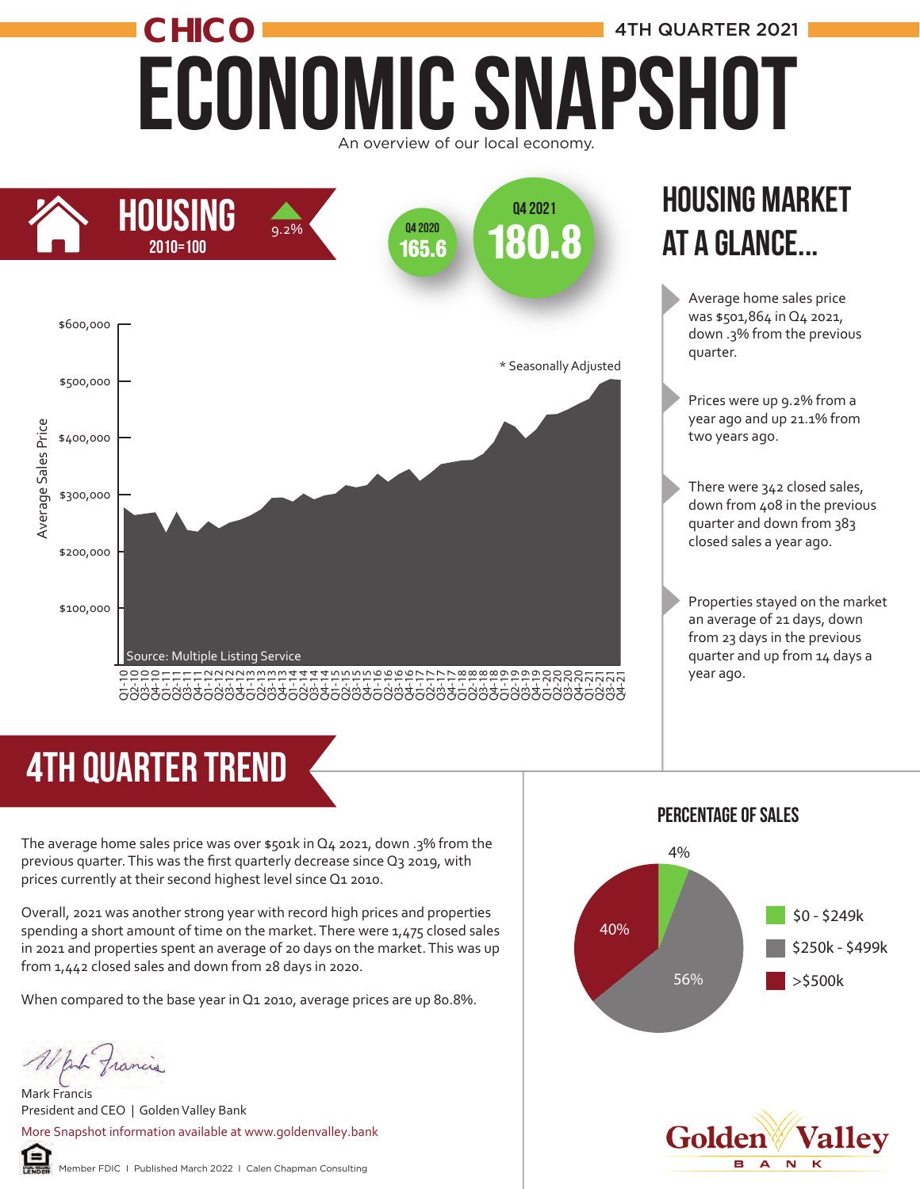## ECONOMIC SNAPSHOT CHICO **CHICO 1** 4TH QUARTER 2021 An overview of our local economy.



#### Housing market at a glance...

Average home sales price was \$501,864 in Q4 2021, down .3% from the previous quarter.

- Prices were up 9.2% from a year ago and up 21.1% from two years ago.
- There were 342 closed sales, down from 408 in the previous quarter and down from 383 closed sales a year ago.

Properties stayed on the market an average of 21 days, down from 23 days in the previous quarter and up from 14 days a year ago.

# 4th quarter trend

The average home sales price was over  $$501k$  in Q4 2021, down .3% from the previous quarter. This was the first quarterly decrease since Q3 2019, with prices currently at their second highest level since Q1 2010.

Overall, 2021 was another strong year with record high prices and properties spending a short amount of time on the market. There were 1,475 closed sales in 2021 and properties spent an average of 20 days on the market. This was up from 1,442 closed sales and down from 28 days in 2020.

When compared to the base year in Q1 2010, average prices are up 80.8%.

put francis

⋐

Mark Francis President and CEO | Golden Valley Bank More Snapshot information available at www.goldenvalley.bank

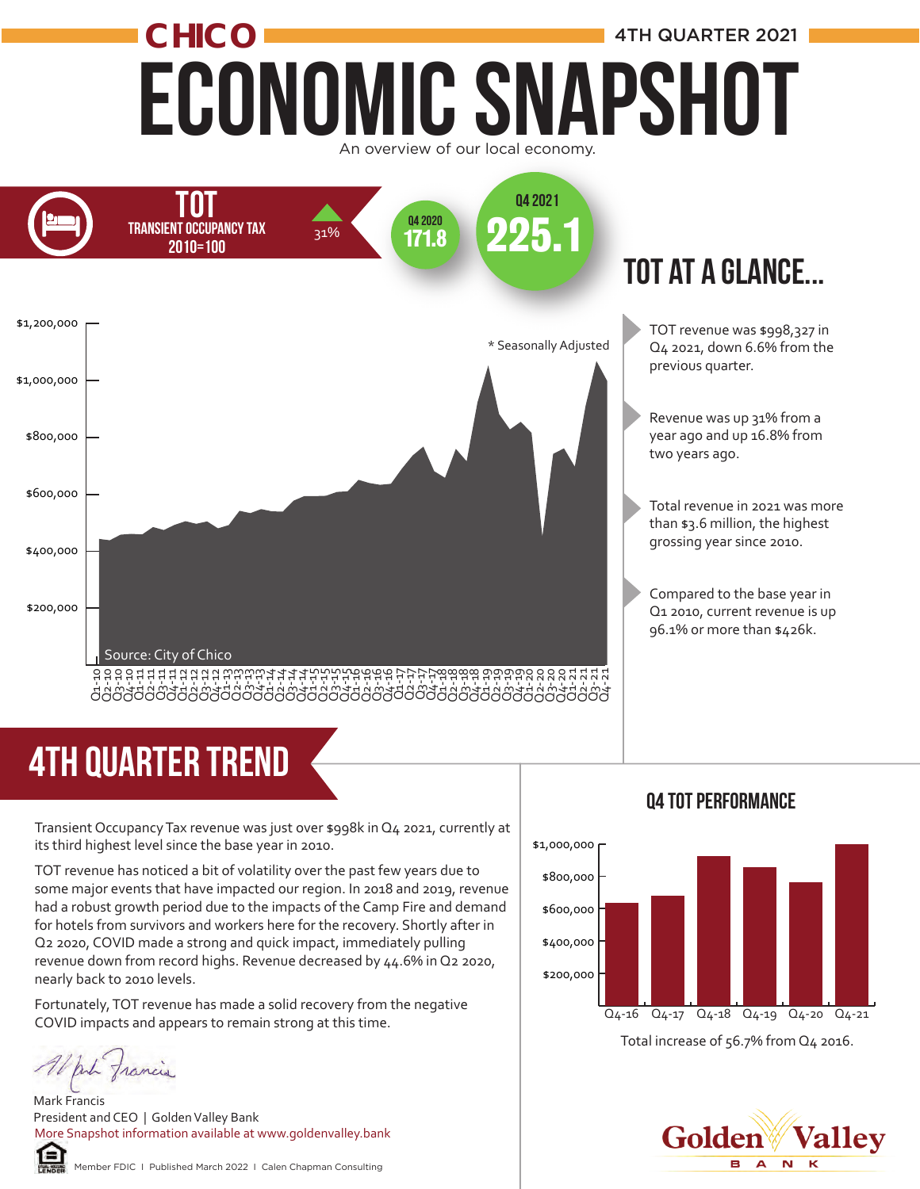## Economic Snapshot **CHICO 1** 4TH QUARTER 2021 An overview of our local economy.



#### tot at a glance...

- TOT revenue was \$998,327 in Q4 2021, down 6.6% from the previous quarter.
- Revenue was up 31% from a year ago and up 16.8% from two years ago.
- Total revenue in 2021 was more than \$3.6 million, the highest grossing year since 2010.
- Compared to the base year in Q1 2010, current revenue is up 96.1% or more than \$426k.

# 4TH quarter trend

Transient Occupancy Tax revenue was just over \$998k in Q4 2021, currently at its third highest level since the base year in 2010.

TOT revenue has noticed a bit of volatility over the past few years due to some major events that have impacted our region. In 2018 and 2019, revenue had a robust growth period due to the impacts of the Camp Fire and demand for hotels from survivors and workers here for the recovery. Shortly after in Q2 2020, COVID made a strong and quick impact, immediately pulling revenue down from record highs. Revenue decreased by 44.6% in Q2 2020, nearly back to 2010 levels.

Fortunately, TOT revenue has made a solid recovery from the negative COVID impacts and appears to remain strong at this time.

War francis

Mark Francis President and CEO | Golden Valley Bank More Snapshot information available at www.goldenvalley.bank



#### Member FDIC I Published March 2022 I Calen Chapman Consulting

#### Total increase of 56.7% from Q4 2016. \$200,000 \$400,000 \$600,000 \$800,000 \$1,000,000 Q4-16 Q4-17 Q4-18 Q4-19 Q4-20 Q4-21



#### Q4 tot Performance